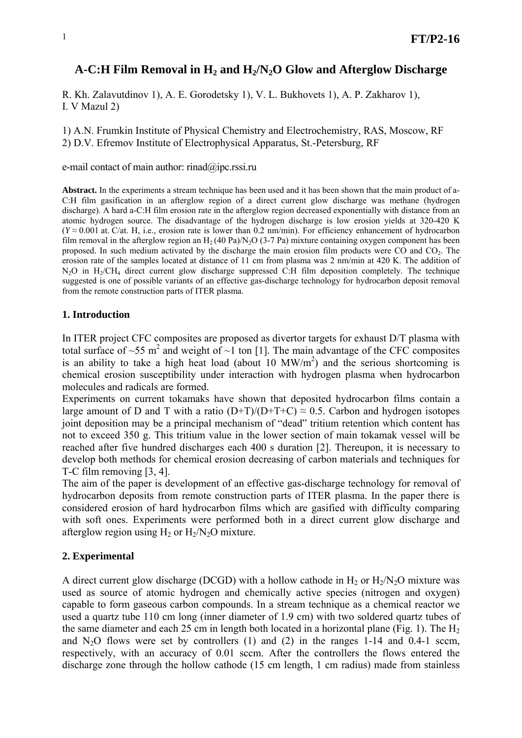# A-C:H Film Removal in H<sub>2</sub> and H<sub>2</sub>/N<sub>2</sub>O Glow and Afterglow Discharge

R. Kh. Zalavutdinov 1), A. E. Gorodetsky 1), V. L. Bukhovets 1), A. P. Zakharov 1), I. V Mazul 2)

1) A.N. Frumkin Institute of Physical Chemistry and Electrochemistry, RAS, Moscow, RF 2) D.V. Efremov Institute of Electrophysical Apparatus, St.-Petersburg, RF

e-mail contact of main author: [rinad@ipc.rssi.ru](mailto:rinad@ipc.rssi.ru)

**Abstract.** In the experiments a stream technique has been used and it has been shown that the main product of а-C:H film gasification in an afterglow region of a direct current glow discharge was methane (hydrogen discharge). A hard а-C:H film erosion rate in the afterglow region decreased exponentially with distance from an atomic hydrogen source. The disadvantage of the hydrogen discharge is low erosion yields at 320-420 K (*Y* ≈ 0.001 at. C/at. H, i.e., erosion rate is lower than 0.2 nm/min). For efficiency enhancement of hydrocarbon film removal in the afterglow region an  $H_2$  (40 Pa)/N<sub>2</sub>O (3-7 Pa) mixture containing oxygen component has been proposed. In such medium activated by the discharge the main erosion film products were CO and CO<sub>2</sub>. The erosion rate of the samples located at distance of 11 cm from plasma was 2 nm/min at 420 K. The addition of N<sub>2</sub>O in H<sub>2</sub>/CH<sub>4</sub> direct current glow discharge suppressed C:H film deposition completely. The technique suggested is one of possible variants of an effective gas-discharge technology for hydrocarbon deposit removal from the remote construction parts of ITER plasma.

# **1. Introduction**

In ITER project CFC composites are proposed as divertor targets for exhaust D/T plasma with total surface of ~55 m<sup>2</sup> and weight of ~1 ton [1]. The main advantage of the CFC composites is an ability to take a high heat load (about  $10 \, \text{MW/m}^2$ ) and the serious shortcoming is chemical erosion susceptibility under interaction with hydrogen plasma when hydrocarbon molecules and radicals are formed.

Experiments on current tokamaks have shown that deposited hydrocarbon films contain a large amount of D and T with a ratio  $(D+T)/(D+T+C) \approx 0.5$ . Carbon and hydrogen isotopes joint deposition may be a principal mechanism of "dead" tritium retention which content has not to exceed 350 g. This tritium value in the lower section of main tokamak vessel will be reached after five hundred discharges each 400 s duration [2]. Thereupon, it is necessary to develop both methods for chemical erosion decreasing of carbon materials and techniques for T-C film removing [3, 4].

The aim of the paper is development of an effective gas-discharge technology for removal of hydrocarbon deposits from remote construction parts of ITER plasma. In the paper there is considered erosion of hard hydrocarbon films which are gasified with difficulty comparing with soft ones. Experiments were performed both in a direct current glow discharge and afterglow region using  $H_2$  or  $H_2/N_2O$  mixture.

# **2. Experimental**

A direct current glow discharge (DCGD) with a hollow cathode in  $H_2$  or  $H_2/N_2O$  mixture was used as source of atomic hydrogen and chemically active species (nitrogen and oxygen) capable to form gaseous carbon compounds. In a stream technique as a chemical reactor we used a quartz tube 110 cm long (inner diameter of 1.9 cm) with two soldered quartz tubes of the same diameter and each 25 cm in length both located in a horizontal plane (Fig. 1). The  $H<sub>2</sub>$ and  $N_2O$  flows were set by controllers (1) and (2) in the ranges 1-14 and 0.4-1 sccm, respectively, with an accuracy of 0.01 sccm. After the controllers the flows entered the discharge zone through the hollow cathode (15 cm length, 1 cm radius) made from stainless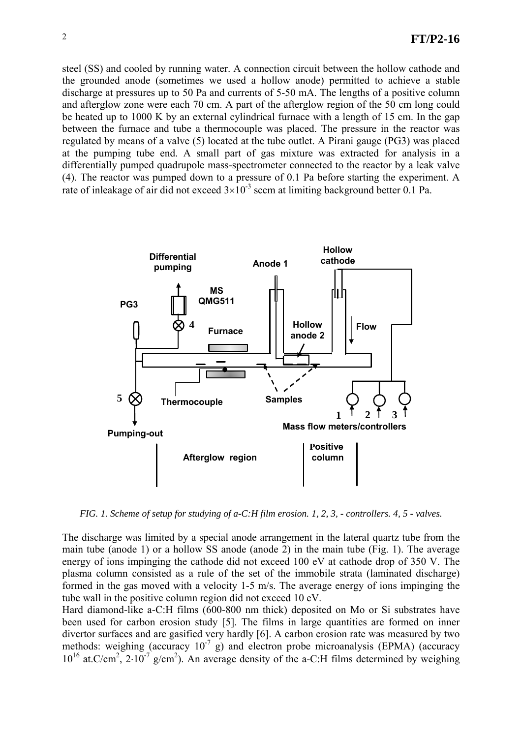steel (SS) and cooled by running water. A connection circuit between the hollow cathode and the grounded anode (sometimes we used a hollow anode) permitted to achieve a stable discharge at pressures up to 50 Pa and currents of 5-50 mA. The lengths of a positive column and afterglow zone were each 70 cm. A part of the afterglow region of the 50 cm long could be heated up to 1000 K by an external cylindrical furnace with a length of 15 cm. In the gap between the furnace and tube a thermocouple was placed. The pressure in the reactor was regulated by means of a valve (5) located at the tube outlet. A Pirani gauge (PG3) was placed at the pumping tube end. A small part of gas mixture was extracted for analysis in a differentially pumped quadrupole mass-spectrometer connected to the reactor by a leak valve (4). The reactor was pumped down to a pressure of 0.1 Pa before starting the experiment. A rate of inleakage of air did not exceed  $3\times10^{-3}$  sccm at limiting background better 0.1 Pa.



*FIG. 1. Scheme of setup for studying of a-C:H film erosion. 1, 2, 3, - controllers. 4, 5 - valves.* 

The discharge was limited by a special anode arrangement in the lateral quartz tube from the main tube (anode 1) or a hollow SS anode (anode 2) in the main tube (Fig. 1). The average energy of ions impinging the cathode did not exceed 100 eV at cathode drop of 350 V. The plasma column consisted as a rule of the set of the immobile strata (laminated discharge) formed in the gas moved with a velocity 1-5 m/s. The average energy of ions impinging the tube wall in the positive column region did not exceed 10 eV.

Hard diamond-like a-C:H films (600-800 nm thick) deposited on Mo or Si substrates have been used for carbon erosion study [5]. The films in large quantities are formed on inner divertor surfaces and are gasified very hardly [6]. A carbon erosion rate was measured by two methods: weighing (accuracy  $10^{-7}$  g) and electron probe microanalysis (EPMA) (accuracy  $10^{16}$  at.C/cm<sup>2</sup>,  $2.10^{-7}$  g/cm<sup>2</sup>). An average density of the a-C:H films determined by weighing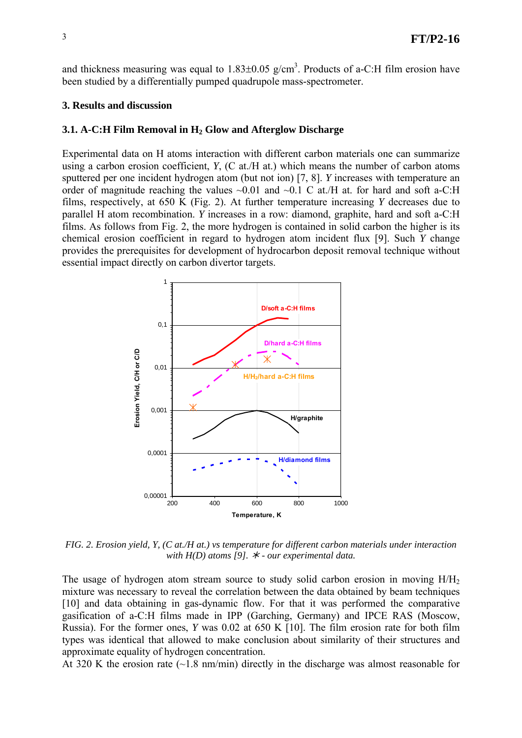and thickness measuring was equal to  $1.83\pm0.05$  g/cm<sup>3</sup>. Products of a-C:H film erosion have been studied by a differentially pumped quadrupole mass-spectrometer.

#### **3. Results and discussion**

#### **3.1. A-C:H Film Removal in H<sub>2</sub> Glow and Afterglow Discharge**

Experimental data on H atoms interaction with different carbon materials one can summarize using a carbon erosion coefficient, *Y*, (C at./H at.) which means the number of carbon atoms sputtered per one incident hydrogen atom (but not ion) [7, 8]. *Y* increases with temperature an order of magnitude reaching the values  $\sim 0.01$  and  $\sim 0.1$  C at /H at. for hard and soft a-C:H films, respectively, at 650 K (Fig. 2). At further temperature increasing *Y* decreases due to parallel H atom recombination. *Y* increases in a row: diamond, graphite, hard and soft a-C:H films. As follows from Fig. 2, the more hydrogen is contained in solid carbon the higher is its chemical erosion coefficient in regard to hydrogen atom incident flux [9]. Such *Y* change provides the prerequisites for development of hydrocarbon deposit removal technique without essential impact directly on carbon divertor targets.



*FIG. 2. Erosion yield, Y, (C at./H at.) vs temperature for different carbon materials under interaction with H(D) atoms [9].* ½ *- our experimental data.* 

The usage of hydrogen atom stream source to study solid carbon erosion in moving  $H/H<sub>2</sub>$ mixture was necessary to reveal the correlation between the data obtained by beam techniques [10] and data obtaining in gas-dynamic flow. For that it was performed the comparative gasification of a-C:H films made in IPP (Garching, Germany) and IPCE RAS (Moscow, Russia). For the former ones, *Y* was 0.02 at 650 K [10]. The film erosion rate for both film types was identical that allowed to make conclusion about similarity of their structures and approximate equality of hydrogen concentration.

At 320 K the erosion rate  $(\sim 1.8 \text{ nm/min})$  directly in the discharge was almost reasonable for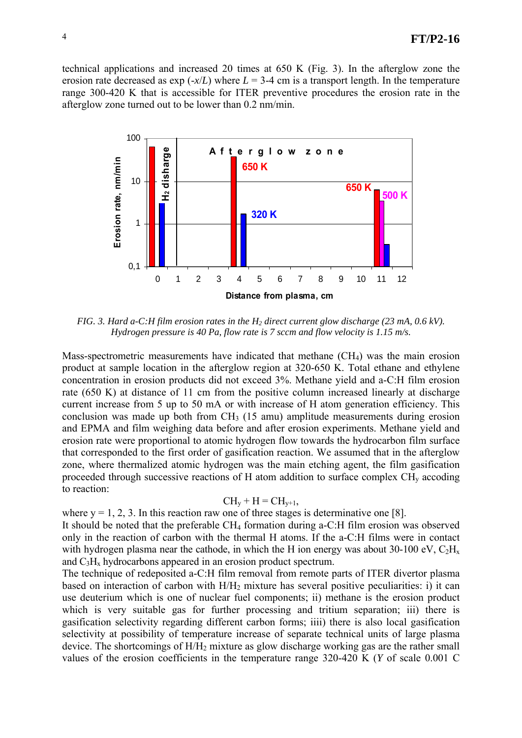technical applications and increased 20 times at 650 K (Fig. 3). In the afterglow zone the erosion rate decreased as  $\exp(-x/L)$  where  $L = 3-4$  cm is a transport length. In the temperature range 300-420 K that is accessible for ITER preventive procedures the erosion rate in the afterglow zone turned out to be lower than 0.2 nm/min.



*FIG. 3. Hard a-C:H film erosion rates in the H<sub>2</sub> direct current glow discharge (23 mA, 0.6 kV). Hydrogen pressure is 40 Pa, flow rate is 7 sccm and flow velocity is 1.15 m/s.* 

Mass-spectrometric measurements have indicated that methane  $(CH<sub>4</sub>)$  was the main erosion product at sample location in the afterglow region at 320-650 K. Total ethane and ethylene concentration in erosion products did not exceed 3%. Methane yield and a-C:H film erosion rate (650 K) at distance of 11 cm from the positive column increased linearly at discharge current increase from 5 up to 50 mA or with increase of H atom generation efficiency. This conclusion was made up both from  $CH_3$  (15 amu) amplitude measurements during erosion and EPMA and film weighing data before and after erosion experiments. Methane yield and erosion rate were proportional to atomic hydrogen flow towards the hydrocarbon film surface that corresponded to the first order of gasification reaction. We assumed that in the afterglow zone, where thermalized atomic hydrogen was the main etching agent, the film gasification proceeded through successive reactions of H atom addition to surface complex  $CH<sub>v</sub>$  accoding to reaction:

$$
CH_{y} + H = CH_{y+1},
$$

where  $y = 1, 2, 3$ . In this reaction raw one of three stages is determinative one [8].

It should be noted that the preferable CH4 formation during a-C:H film erosion was observed only in the reaction of carbon with the thermal H atoms. If the a-C:H films were in contact with hydrogen plasma near the cathode, in which the H ion energy was about 30-100 eV,  $C_2H_x$ and  $C_3H_x$  hydrocarbons appeared in an erosion product spectrum.

The technique of redeposited a-C:H film removal from remote parts of ITER divertor plasma based on interaction of carbon with  $H/H<sub>2</sub>$  mixture has several positive peculiarities: i) it can use deuterium which is one of nuclear fuel components; ii) methane is the erosion product which is very suitable gas for further processing and tritium separation; iii) there is gasification selectivity regarding different carbon forms; iiii) there is also local gasification selectivity at possibility of temperature increase of separate technical units of large plasma device. The shortcomings of  $H/H<sub>2</sub>$  mixture as glow discharge working gas are the rather small values of the erosion coefficients in the temperature range 320-420 K (*Y* of scale 0.001 C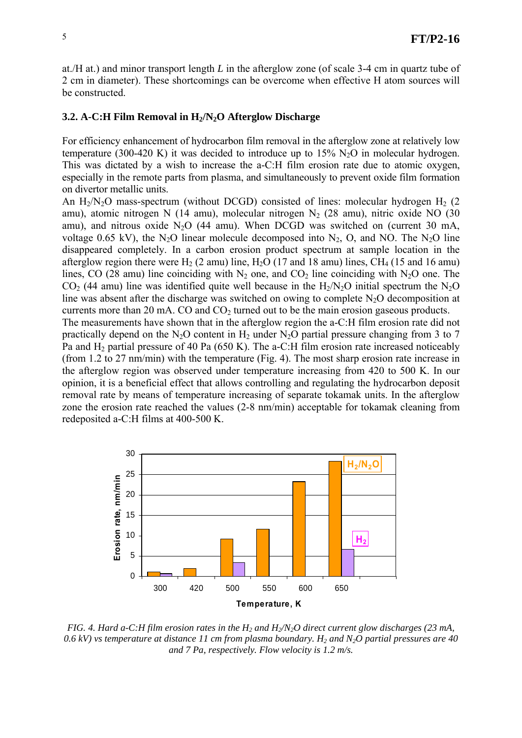at./H at.) and minor transport length *L* in the afterglow zone (of scale 3-4 cm in quartz tube of 2 cm in diameter). These shortcomings can be overcome when effective H atom sources will be constructed.

#### **3.2. A-C:H Film Removal in H2/N2O Afterglow Discharge**

For efficiency enhancement of hydrocarbon film removal in the afterglow zone at relatively low temperature (300-420 K) it was decided to introduce up to  $15\%$  N<sub>2</sub>O in molecular hydrogen. This was dictated by a wish to increase the a-C:H film erosion rate due to atomic oxygen, especially in the remote parts from plasma, and simultaneously to prevent oxide film formation on divertor metallic units.

An  $H_2/N_2O$  mass-spectrum (without DCGD) consisted of lines: molecular hydrogen  $H_2$  (2) amu), atomic nitrogen N (14 amu), molecular nitrogen  $N_2$  (28 amu), nitric oxide NO (30 amu), and nitrous oxide  $N_2O$  (44 amu). When DCGD was switched on (current 30 mA, voltage 0.65 kV), the N<sub>2</sub>O linear molecule decomposed into N<sub>2</sub>, O, and NO. The N<sub>2</sub>O line disappeared completely. In a carbon erosion product spectrum at sample location in the afterglow region there were  $H_2$  (2 amu) line,  $H_2O$  (17 and 18 amu) lines, CH<sub>4</sub> (15 and 16 amu) lines, CO (28 amu) line coinciding with  $N_2$  one, and CO<sub>2</sub> line coinciding with N<sub>2</sub>O one. The  $CO<sub>2</sub>$  (44 amu) line was identified quite well because in the H<sub>2</sub>/N<sub>2</sub>O initial spectrum the N<sub>2</sub>O line was absent after the discharge was switched on owing to complete  $N_2O$  decomposition at currents more than 20 mA.  $CO$  and  $CO<sub>2</sub>$  turned out to be the main erosion gaseous products. The measurements have shown that in the afterglow region the a-C:H film erosion rate did not

practically depend on the N<sub>2</sub>O content in H<sub>2</sub> under N<sub>2</sub>O partial pressure changing from 3 to 7 Pa and H2 partial pressure of 40 Pa (650 K). The a-C:H film erosion rate increased noticeably (from 1.2 to 27 nm/min) with the temperature (Fig. 4). The most sharp erosion rate increase in the afterglow region was observed under temperature increasing from 420 to 500 K. In our opinion, it is a beneficial effect that allows controlling and regulating the hydrocarbon deposit removal rate by means of temperature increasing of separate tokamak units. In the afterglow zone the erosion rate reached the values (2-8 nm/min) acceptable for tokamak cleaning from redeposited a-C:H films at 400-500 K.



*FIG. 4. Hard a-C:H film erosion rates in the H<sub>2</sub> and H<sub>2</sub>/N<sub>2</sub>O direct current glow discharges (23 mA,* 0.6 kV) vs temperature at distance 11 cm from plasma boundary. H<sub>2</sub> and N<sub>2</sub>O partial pressures are 40 *and 7 Pa, respectively. Flow velocity is 1.2 m/s.*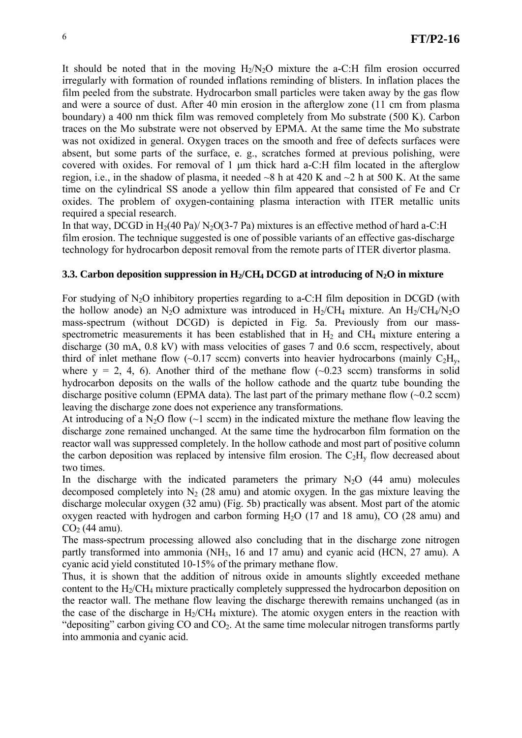It should be noted that in the moving  $H_2/N_2O$  mixture the a-C:H film erosion occurred irregularly with formation of rounded inflations reminding of blisters. In inflation places the film peeled from the substrate. Hydrocarbon small particles were taken away by the gas flow and were a source of dust. After 40 min erosion in the afterglow zone (11 cm from plasma boundary) a 400 nm thick film was removed completely from Mo substrate (500 K). Carbon traces on the Mo substrate were not observed by EPMA. At the same time the Mo substrate was not oxidized in general. Oxygen traces on the smooth and free of defects surfaces were absent, but some parts of the surface, e. g., scratches formed at previous polishing, were covered with oxides. For removal of 1 μm thick hard a-C:H film located in the afterglow region, i.e., in the shadow of plasma, it needed  $\sim$ 8 h at 420 K and  $\sim$ 2 h at 500 K. At the same time on the cylindrical SS anode a yellow thin film appeared that consisted of Fe and Cr oxides. The problem of oxygen-containing plasma interaction with ITER metallic units required a special research.

In that way, DCGD in  $H_2(40 \text{ Pa})/ N_2O(3-7 \text{ Pa})$  mixtures is an effective method of hard a-C:H film erosion. The technique suggested is one of possible variants of an effective gas-discharge technology for hydrocarbon deposit removal from the remote parts of ITER divertor plasma.

## **3.3. Carbon deposition suppression in H<sub>2</sub>/CH<sub>4</sub> DCGD at introducing of N<sub>2</sub>O in mixture**

For studying of  $N_2O$  inhibitory properties regarding to a-C:H film deposition in DCGD (with the hollow anode) an N<sub>2</sub>O admixture was introduced in H<sub>2</sub>/CH<sub>4</sub> mixture. An H<sub>2</sub>/CH<sub>4</sub>/N<sub>2</sub>O mass-spectrum (without DCGD) is depicted in Fig. 5a. Previously from our massspectrometric measurements it has been established that in  $H_2$  and CH<sub>4</sub> mixture entering a discharge (30 mA, 0.8 kV) with mass velocities of gases 7 and 0.6 sccm, respectively, about third of inlet methane flow (~0.17 sccm) converts into heavier hydrocarbons (mainly  $C_2H_v$ , where  $y = 2, 4, 6$ . Another third of the methane flow  $(-0.23 \text{ sccm})$  transforms in solid hydrocarbon deposits on the walls of the hollow cathode and the quartz tube bounding the discharge positive column (EPMA data). The last part of the primary methane flow  $(\sim 0.2 \text{ sccm})$ leaving the discharge zone does not experience any transformations.

At introducing of a N<sub>2</sub>O flow  $(\sim 1 \text{ sccm})$  in the indicated mixture the methane flow leaving the discharge zone remained unchanged. At the same time the hydrocarbon film formation on the reactor wall was suppressed completely. In the hollow cathode and most part of positive column the carbon deposition was replaced by intensive film erosion. The  $C_2H_v$  flow decreased about two times.

In the discharge with the indicated parameters the primary  $N<sub>2</sub>O$  (44 amu) molecules decomposed completely into  $N_2$  (28 amu) and atomic oxygen. In the gas mixture leaving the discharge molecular oxygen (32 amu) (Fig. 5b) practically was absent. Most part of the atomic oxygen reacted with hydrogen and carbon forming  $H<sub>2</sub>O$  (17 and 18 amu),  $CO$  (28 amu) and  $CO<sub>2</sub>$  (44 amu).

The mass-spectrum processing allowed also concluding that in the discharge zone nitrogen partly transformed into ammonia (NH<sub>3</sub>, 16 and 17 amu) and cyanic acid (HCN, 27 amu). A cyanic acid yield constituted 10-15% of the primary methane flow.

Thus, it is shown that the addition of nitrous oxide in amounts slightly exceeded methane content to the H2/CH4 mixture practically completely suppressed the hydrocarbon deposition on the reactor wall. The methane flow leaving the discharge therewith remains unchanged (as in the case of the discharge in  $H_2/CH_4$  mixture). The atomic oxygen enters in the reaction with "depositing" carbon giving  $CO$  and  $CO<sub>2</sub>$ . At the same time molecular nitrogen transforms partly into ammonia and cyanic acid.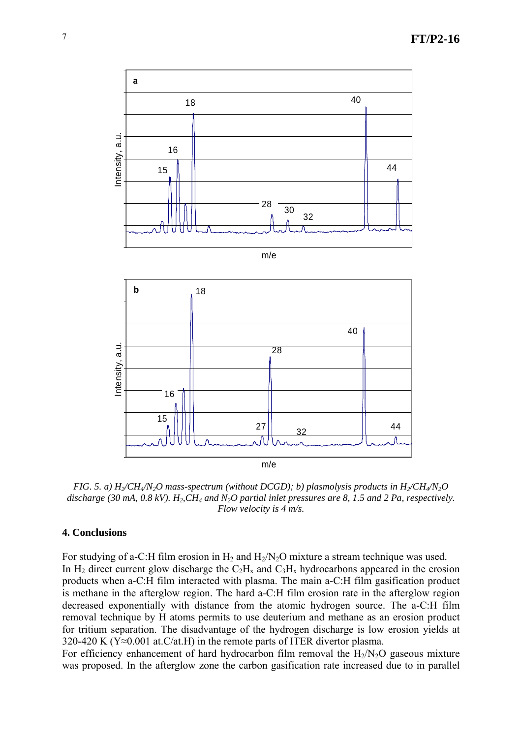

*FIG. 5. a)*  $H_2/CH_4/N_2O$  mass-spectrum (without DCGD); b) plasmolysis products in  $H_2/CH_4/N_2O$ discharge (30 mA,  $0.8$  kV).  $H_2, CH_4$  and  $N_2O$  partial inlet pressures are 8, 1.5 and 2 Pa, respectively. *Flow velocity is 4 m/s.* 

## **4. Conclusions**

For studying of a-C:H film erosion in  $H_2$  and  $H_2/N_2O$  mixture a stream technique was used. In H<sub>2</sub> direct current glow discharge the  $C_2H_x$  and  $C_3H_x$  hydrocarbons appeared in the erosion products when a-C:H film interacted with plasma. The main a-C:H film gasification product is methane in the afterglow region. The hard a-C:H film erosion rate in the afterglow region decreased exponentially with distance from the atomic hydrogen source. The a-C:H film removal technique by H atoms permits to use deuterium and methane as an erosion product for tritium separation. The disadvantage of the hydrogen discharge is low erosion yields at 320-420 K ( $Y \approx 0.001$  at.C/at.H) in the remote parts of ITER divertor plasma.

For efficiency enhancement of hard hydrocarbon film removal the  $H_2/N_2O$  gaseous mixture was proposed. In the afterglow zone the carbon gasification rate increased due to in parallel